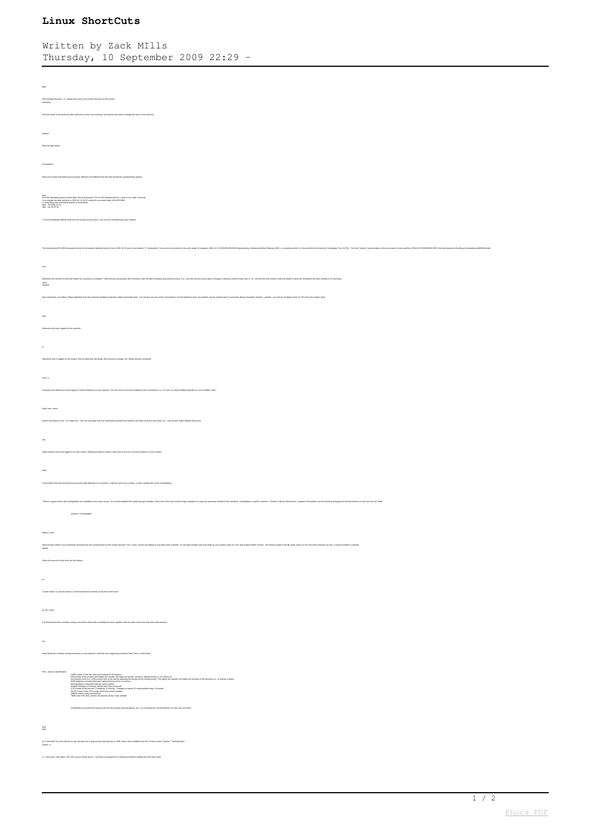## **Linux ShortCuts**

| Written by Zack MIlls                 |  |  |  |
|---------------------------------------|--|--|--|
| Thursday, 10 September 2009 22:29 $-$ |  |  |  |

| pad                                                                                                                                                                                                                                                                                                                                                                                                                                                                                                                |
|--------------------------------------------------------------------------------------------------------------------------------------------------------------------------------------------------------------------------------------------------------------------------------------------------------------------------------------------------------------------------------------------------------------------------------------------------------------------------------------------------------------------|
| Print working directory, i.e., display the name of my current directory on the screen<br>hostiame                                                                                                                                                                                                                                                                                                                                                                                                                  |
|                                                                                                                                                                                                                                                                                                                                                                                                                                                                                                                    |
| Print the name of the local host (the machine on which I am working). Use netconf (as root) to change the name of the machine                                                                                                                                                                                                                                                                                                                                                                                      |
| whoans                                                                                                                                                                                                                                                                                                                                                                                                                                                                                                             |
| Print my login name                                                                                                                                                                                                                                                                                                                                                                                                                                                                                                |
|                                                                                                                                                                                                                                                                                                                                                                                                                                                                                                                    |
| id username                                                                                                                                                                                                                                                                                                                                                                                                                                                                                                        |
| Print user id (uit) and his/ter group id (gid), effective id (if different than the real id) and the supplementary groups.                                                                                                                                                                                                                                                                                                                                                                                         |
|                                                                                                                                                                                                                                                                                                                                                                                                                                                                                                                    |
| date<br>Prix the operating system current date, time and timesane. For an IDO standard formal, I have to use date -leaconds<br>I can change the date and time is 2005-10-31 22:30 using this commend: date 123 (123.570.00)<br>and -git                                                                                                                                                                                                                                                                            |
|                                                                                                                                                                                                                                                                                                                                                                                                                                                                                                                    |
| To zet the hardware (BIOS) clock from the zystem (Linux) clock, I can use the command (as root): setclock                                                                                                                                                                                                                                                                                                                                                                                                          |
|                                                                                                                                                                                                                                                                                                                                                                                                                                                                                                                    |
| The international (ISO 8601) ziandard format for all-numeric date lime haz the form: 2001-01-31 (ex in Linux default "C" localization). You can be more precise if you wish using, for example: 2001-01-31 23:59:59.999-05:00<br>senting / milizacond before February 2001, in a timezone which is 5 hours behind the Universal Coordinated Time (UTC)) . The most 'licuter" repres<br>sion of the zame point in time could be: 200101217235359,999-0500. See the zandard at fip://tp.qs/.net/pub/g1zmd@501v03.pdf |
|                                                                                                                                                                                                                                                                                                                                                                                                                                                                                                                    |
|                                                                                                                                                                                                                                                                                                                                                                                                                                                                                                                    |
| Determine the amount of the fact it has for any part of the company country of the content of the fact of the product with the fact of the fact of the fact of the fact of the fact of the fact of the fact of the fact of the                                                                                                                                                                                                                                                                                     |
|                                                                                                                                                                                                                                                                                                                                                                                                                                                                                                                    |
| (two commands, use either). Obtain date/time from the computer hardware (real time, ballery-powered) clock. You can also use one of this commands to set the hardware clock, but setclock may be aimpler (see 2 commands above                                                                                                                                                                                                                                                                                     |
| $\omega$                                                                                                                                                                                                                                                                                                                                                                                                                                                                                                           |
| Determine the users logged on the machine                                                                                                                                                                                                                                                                                                                                                                                                                                                                          |
|                                                                                                                                                                                                                                                                                                                                                                                                                                                                                                                    |
| $_{\rm w}$                                                                                                                                                                                                                                                                                                                                                                                                                                                                                                         |
| nine who is logged on the system, find out what they are doing, their processor ussage, etc. Handy security con                                                                                                                                                                                                                                                                                                                                                                                                    |
|                                                                                                                                                                                                                                                                                                                                                                                                                                                                                                                    |
| rato-a                                                                                                                                                                                                                                                                                                                                                                                                                                                                                                             |
| (wereole who) Determine weers logged on other computers on your network. The reho service must be enabled for this commend to run. If it lan't, non setup (RedHaf specific) as roof is enab                                                                                                                                                                                                                                                                                                                        |
|                                                                                                                                                                                                                                                                                                                                                                                                                                                                                                                    |
| finger user_name                                                                                                                                                                                                                                                                                                                                                                                                                                                                                                   |
| System info about a user. Try: finger root . One can use finger with any networked computer that exposes the finger service to the world, e.g., I can do (try): finger @finger.kemel.org                                                                                                                                                                                                                                                                                                                           |
| <b>but</b>                                                                                                                                                                                                                                                                                                                                                                                                                                                                                                         |
|                                                                                                                                                                                                                                                                                                                                                                                                                                                                                                                    |
| Show listing of users last logged-in on your system. Really good idea to check it from time to time as a security measure on your system                                                                                                                                                                                                                                                                                                                                                                           |
| lasti                                                                                                                                                                                                                                                                                                                                                                                                                                                                                                              |
| ("what bad") Show the last bad (wasconssful) login attempts on my system. It did not work on my system, so got it stanted with: touch /vanlog-bing                                                                                                                                                                                                                                                                                                                                                                 |
|                                                                                                                                                                                                                                                                                                                                                                                                                                                                                                                    |
| lead of the uperru<br>me, Analogitimp is a gift to crackers." (Thenks to Bruce Richardson). If appears the problem can be solved by changing the file permissions ao only not can use "lastin                                                                                                                                                                                                                                                                                                                      |
| chmod o-r/vaclog/bimp                                                                                                                                                                                                                                                                                                                                                                                                                                                                                              |
|                                                                                                                                                                                                                                                                                                                                                                                                                                                                                                                    |
| $\text{Natsry} \mid \text{more}$                                                                                                                                                                                                                                                                                                                                                                                                                                                                                   |
| Show the last (1000 or so) cor<br>nds executed from the command line on the current account. The "I mow" causes the display to stop after each screenbl. To see what another user was cloing on your system, login as "sool" and impact his/ter "history". The h<br>aptime                                                                                                                                                                                                                                         |
| Show the amount of time since the last reboot.                                                                                                                                                                                                                                                                                                                                                                                                                                                                     |
|                                                                                                                                                                                                                                                                                                                                                                                                                                                                                                                    |
| $_{\mu}$                                                                                                                                                                                                                                                                                                                                                                                                                                                                                                           |
| («"print status" or "process status") List the processes currently run by the current user.                                                                                                                                                                                                                                                                                                                                                                                                                        |
|                                                                                                                                                                                                                                                                                                                                                                                                                                                                                                                    |
| $\mu \epsilon$ and $\mu \sigma \sigma \sigma$                                                                                                                                                                                                                                                                                                                                                                                                                                                                      |
| List all the processes currently running, even those without the controlling terminal, together with the name of the user that owns each process.                                                                                                                                                                                                                                                                                                                                                                  |
| $\kappa\rho$                                                                                                                                                                                                                                                                                                                                                                                                                                                                                                       |
|                                                                                                                                                                                                                                                                                                                                                                                                                                                                                                                    |
| Keep listing the currently running processes on my computer, sorted by opu usage (top processes first). Press c when done.                                                                                                                                                                                                                                                                                                                                                                                         |
| PID = process identification.                                                                                                                                                                                                                                                                                                                                                                                                                                                                                      |
| (1870-1997 & Passache and Control Property).<br>Company (angle passache angle of the state of the passache and the state of the state of the state of the process (s. h.pinky is laws)<br>Company (angle between the log of the stat                                                                                                                                                                                                                                                                               |
|                                                                                                                                                                                                                                                                                                                                                                                                                                                                                                                    |
| COMMAND-command line used to ziart the task (careful with passwords, etc., on command line, all permitted to run "top" may see them!                                                                                                                                                                                                                                                                                                                                                                               |
|                                                                                                                                                                                                                                                                                                                                                                                                                                                                                                                    |
| glop<br>ktop                                                                                                                                                                                                                                                                                                                                                                                                                                                                                                       |
| (n X terminal) Two GUI choices for top. My tevourbe is glop (comes with general). In KDE, ktop is also available from the "K"mens under "System"-"Task Manager".<br>unanne-e                                                                                                                                                                                                                                                                                                                                       |
|                                                                                                                                                                                                                                                                                                                                                                                                                                                                                                                    |
| $(\omega$ "Link name" with option "all") into on your (local) server. I can also use gunante (in X-window terminal) to display the info more nicely.                                                                                                                                                                                                                                                                                                                                                               |
|                                                                                                                                                                                                                                                                                                                                                                                                                                                                                                                    |